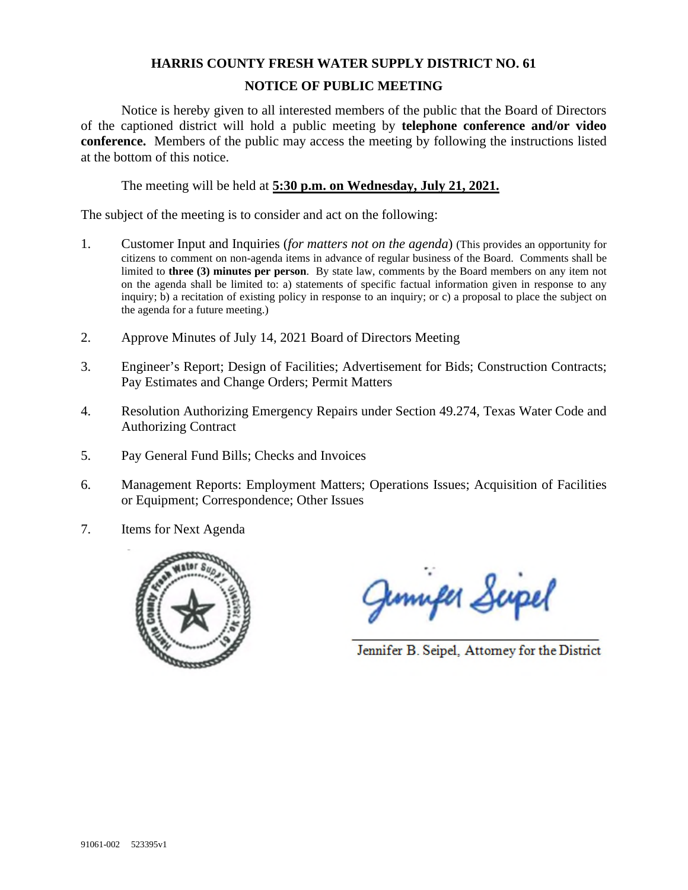## **HARRIS COUNTY FRESH WATER SUPPLY DISTRICT NO. 61 NOTICE OF PUBLIC MEETING**

Notice is hereby given to all interested members of the public that the Board of Directors of the captioned district will hold a public meeting by **telephone conference and/or video conference.** Members of the public may access the meeting by following the instructions listed at the bottom of this notice.

The meeting will be held at **5:30 p.m. on Wednesday, July 21, 2021.** 

The subject of the meeting is to consider and act on the following:

- 1. Customer Input and Inquiries (*for matters not on the agenda*) (This provides an opportunity for citizens to comment on non-agenda items in advance of regular business of the Board. Comments shall be limited to **three (3) minutes per person**. By state law, comments by the Board members on any item not on the agenda shall be limited to: a) statements of specific factual information given in response to any inquiry; b) a recitation of existing policy in response to an inquiry; or c) a proposal to place the subject on the agenda for a future meeting.)
- 2. Approve Minutes of July 14, 2021 Board of Directors Meeting
- 3. Engineer's Report; Design of Facilities; Advertisement for Bids; Construction Contracts; Pay Estimates and Change Orders; Permit Matters
- 4. Resolution Authorizing Emergency Repairs under Section 49.274, Texas Water Code and Authorizing Contract
- 5. Pay General Fund Bills; Checks and Invoices
- 6. Management Reports: Employment Matters; Operations Issues; Acquisition of Facilities or Equipment; Correspondence; Other Issues
- 7. Items for Next Agenda



Juniper Scipel

Jennifer B. Seipel, Attorney for the District